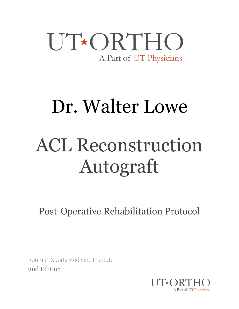### UT\*ORTHO A Part of UT Physicians

# Dr. Walter Lowe

# ACL Reconstruction Autograft

Post-Operative Rehabilitation Protocol

Ironman Sports Medicine Institute

2nd Edition

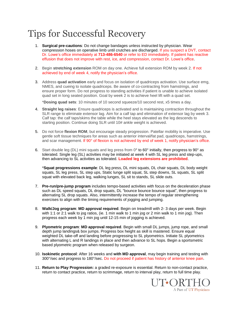### Tips for Successful Recovery

- 1. **Surgical pre-cautions**: Do not change bandages unless instructed by physician. Wear compression hoses on operative limb until crutches are discharged. If you suspect a DVT, contact Dr. Lowe's office immediately at **713-486-6540** or refer to ED immediately. If patient has reactive effusion that does not improve with rest, ice, and compression, contact Dr. Lowe's office.
- 2. Begin **stretching extension** ROM on day one. Achieve full extension ROM by week 2. If not achieved by end of week 4, notify the physician's office.
- 3. Address **quad activation** early and focus on isolation of quadriceps activation. Use surface emg, NMES, and cueing to isolate quadriceps. Be aware of co-contracting from hamstrings, and ensure proper form. Do not progress to standing activities if patient is unable to achieve isolated quad set in long seated position. Goal by week 2 is to achieve heel lift with a quad set.

\***Dosing quad sets**: 10 minutes of 10 second squeeze/10 second rest, x5 times a day.

- 4. **Straight leg raises**: Ensure quadriceps is activated and is maintaining contraction throughout the SLR range to eliminate extensor lag. Aim for a calf tap and elimination of extensor lag by week 3. Calf tap: the calf taps/skims the table while the heel stays elevated as the leg descends to starting position. Continue doing SLR until 10# ankle weight is achieved.
- 5. Do not force **flexion ROM**, but encourage steady progression. Patellar mobility is imperative. Use gentle soft tissue techniques for areas such as anterior interval/fat pad, quadriceps, hamstrings, and scar management. If 90° of flexion is not achieved by end of week 1, notify physician's office.
- 6. Start double leg (DL) mini squats and leg press from 0° to 60° initially, then progress to 90° as tolerated. Single leg (SL) activities may be initiated at week 4 with SL leg press and step-ups, then advancing to SL activities as tolerated. **Loaded leg extensions are prohibited**.

\***Squat progressions example**: DL leg press, DL mini squats, DL chair squats, DL body weight squats, SL leg press, SL step ups, Static lunge split squat, SL step downs, SL squats, SL split squat with elevated back leg, walking lunges, SL sit to stands, SL slide outs.

- 7. **Pre-run/pre-jump program** includes tempo-based activities with focus on the deceleration phase such as DL speed squats, DL drop squats, DL "bounce bounce bounce squat", then progress to alternating SL drop squats. Also, intermittently increase the tempo of regular strengthening exercises to align with the timing requirements of jogging and jumping.
- 8. **Walk/Jog program**: **MD approval required**. Begin on treadmill with 2- 3 days per week. Begin with 1:1 or 2:1 walk to jog ratios, (ie. 1 min walk to 1 min jog or 2 min walk to 1 min jog). Then progress each week by 1 min jog until 12-15 min of jogging is achieved.
- 9. **Plyometric program**: **MD approval required**. Begin with small DL jumps, jump rope, and small depth jump landings& box jumps. Progress box height as skill is mastered. Ensure equal weighted DL take-off and landing before progressing to SL plyometrics. Initiate SL plyometrics with alternating L and R landings in place and then advance to SL hops. Begin a sportsmetric based plyometric program when released by surgeon.
- 10. **Isokinetic protocol**: After 16 weeks and **with MD approval**, may begin training and testing with 300°/sec and progress to 180°/sec. Do not proceed if patient has history of anterior knee pain.
- 11. **Return to Play Progression:** a graded re-exposure is essential. Return to non-contact practice, return to contact practice, return to scrimmage, return to interval play, return to full time play.

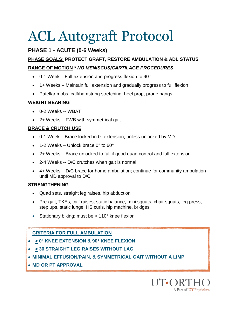#### **PHASE 1 - ACUTE (0-6 Weeks)**

#### **PHASE GOALS: PROTECT GRAFT, RESTORE AMBULATION & ADL STATUS RANGE OF MOTION** *\* NO MENISCUS/CARTILAGE PROCEDURES*

- 0-1 Week Full extension and progress flexion to 90°
- 1+ Weeks Maintain full extension and gradually progress to full flexion
- Patellar mobs, calf/hamstring stretching, heel prop, prone hangs

#### **WEIGHT BEARING**

- 0-2 Weeks -- WBAT
- 2+ Weeks FWB with symmetrical gait

#### **BRACE & CRUTCH USE**

- $\bullet$  0-1 Week Brace locked in 0° extension, unless unlocked by MD
- 1-2 Weeks Unlock brace 0° to 60°
- 2+ Weeks Brace unlocked to full if good quad control and full extension
- 2-4 Weeks -- D/C crutches when gait is normal
- 4+ Weeks D/C brace for home ambulation; continue for community ambulation until MD approval to D/C

#### **STRENGTHENING**

- Quad sets, straight leg raises, hip abduction
- Pre-gait, TKEs, calf raises, static balance, mini squats, chair squats, leg press, step ups, static lunge, HS curls, hip machine, bridges
- Stationary biking: must be  $> 110^\circ$  knee flexion

#### **CRITERIA FOR FULL AMBULATION**

- **> 0**° **KNEE EXTENSION & 90° KNEE FLEXION**
- **> 30 STRAIGHT LEG RAISES WITHOUT LAG**
- **MINIMAL EFFUSION/PAIN, & SYMMETRICAL GAIT WITHOUT A LIMP**
- **MD OR PT APPROVAL**

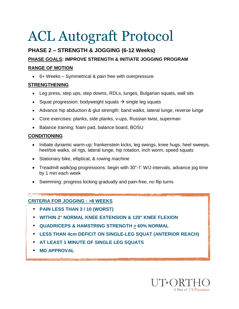### **PHASE 2 – STRENGTH & JOGGING (6-12 Weeks)**

### **PHASE GOALS: IMPROVE STRENGTH & INITIATE JOGGING PROGRAM**

#### **RANGE OF MOTION**

6+ Weeks – Symmetrical & pain free with overpressure

#### **STRENGTHENING**

- Leg press, step ups, step downs, RDLs, lunges, Bulgarian squats, wall sits
- Squat progression: bodyweight squats  $\rightarrow$  single leg squats
- Advance hip abduction & glut strength: band walks, lateral lunge, reverse lunge
- Core exercises: planks, side planks, v-ups, Russian twist, superman
- Balance training: foam pad, balance board, BOSU

#### **CONDITIONING**

- Initiate dynamic warm-up: frankenstein kicks, leg swings, knee hugs, heel sweeps, heel/toe walks, oil rigs, lateral lunge, hip rotation, inch worm, speed squats
- Stationary bike, elliptical, & rowing machine
- Treadmill walk/jog progressions: begin with 30"-1' W/J intervals, advance jog time by 1 min each week
- Swimming: progress kicking gradually and pain-free, no flip turns

#### **CRITERIA FOR JOGGING : >8 WEEKS**

- **PAIN LESS THAN 3 / 10 (WORST)**
- **WITHIN 2° NORMAL KNEE EXTENSION & 120° KNEE FLEXION**
- **QUADRICEPS & HAMSTRING STRENGTH > 60% NORMAL**
- **LESS THAN 4cm DEFICIT ON SINGLE-LEG SQUAT (ANTERIOR REACH)**
- **AT LEAST 1 MINUTE OF SINGLE LEG SQUATS**
- **MD APPROVAL**

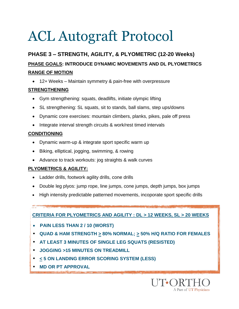### **PHASE 3 – STRENGTH, AGILITY, & PLYOMETRIC (12-20 Weeks) PHASE GOALS: INTRODUCE DYNAMIC MOVEMENTS AND DL PLYOMETRICS RANGE OF MOTION**

12+ Weeks – Maintain symmetry & pain-free with overpressure

#### **STRENGTHENING**

- Gym strengthening: squats, deadlifts, initiate olympic lifting
- SL strengthening: SL squats, sit to stands, ball slams, step ups/downs
- Dynamic core exercises: mountain climbers, planks, pikes, pale off press
- Integrate interval strength circuits & work/rest timed intervals

#### **CONDITIONING**

- Dynamic warm-up & integrate sport specific warm up
- Biking, elliptical, jogging, swimming, & rowing
- Advance to track workouts: jog straights & walk curves

#### **PLYOMETRICS & AGILITY:**

- Ladder drills, footwork agility drills, cone drills
- Double leg plyos: jump rope, line jumps, cone jumps, depth jumps, box jumps
- High intensity predictable patterned movements, incoporate sport specific drills

**CRITERIA FOR PLYOMETRICS AND AGILITY : DL > 12 WEEKS, SL > 20 WEEKS**

- **PAIN LESS THAN 2 / 10 (WORST)**
- **QUAD & HAM STRENGTH > 80% NORMAL; > 50% H/Q RATIO FOR FEMALES**
- **AT LEAST 3 MINUTES OF SINGLE LEG SQUATS (RESISTED)**
- **JOGGING >15 MINUTES ON TREADMILL**
- **< 5 ON LANDING ERROR SCORING SYSTEM (LESS)**
- **MD OR PT APPROVAL**

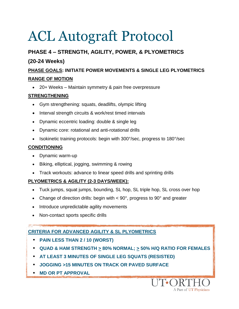#### **PHASE 4 – STRENGTH, AGILITY, POWER, & PLYOMETRICS**

#### **(20-24 Weeks)**

#### **PHASE GOALS: INITIATE POWER MOVEMENTS & SINGLE LEG PLYOMETRICS RANGE OF MOTION**

20+ Weeks – Maintain symmetry & pain free overpressure

#### **STRENGTHENING**

- Gym strengthening: squats, deadlifts, olympic lifting
- Interval strength circuits & work/rest timed intervals
- Dynamic eccentric loading: double & single leg
- Dynamic core: rotational and anti-rotational drills
- Isokinetic training protocols: begin with 300°/sec, progress to 180°/sec

#### **CONDITIONING**

- Dynamic warm-up
- Biking, elliptical, jogging, swimming & rowing
- Track workouts: advance to linear speed drills and sprinting drills

#### **PLYOMETRICS & AGILITY (2-3 DAYS/WEEK):**

- Tuck jumps, squat jumps, bounding, SL hop, SL triple hop, SL cross over hop
- Change of direction drills: begin with  $< 90^\circ$ , progress to  $90^\circ$  and greater
- Introduce unpredictable agility movements
- Non-contact sports specific drills

#### **CRITERIA FOR ADVANCED AGILITY & SL PLYOMETRICS**

- **PAIN LESS THAN 2 / 10 (WORST)**
- **QUAD & HAM STRENGTH > 80% NORMAL; > 50% H/Q RATIO FOR FEMALES**
- **AT LEAST 3 MINUTES OF SINGLE LEG SQUATS (RESISTED)**
- **JOGGING >15 MINUTES ON TRACK OR PAVED SURFACE**
- **MD OR PT APPROVAL**